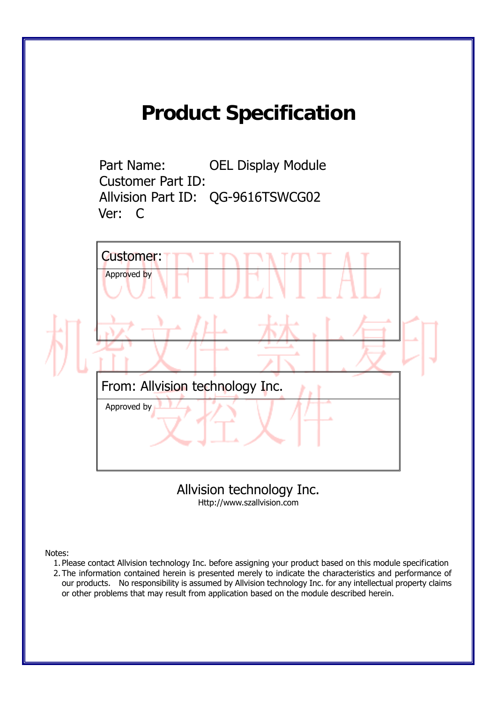## **Product Specification**

Part Name: OEL Display Module Customer Part ID: Allvision Part ID: QG-9616TSWCG02 Ver: C



Allvision technology Inc. Http://www.szallvision.com

Notes:

- 1. Please contact Allvision technology Inc. before assigning your product based on this module specification
- 2. The information contained herein is presented merely to indicate the characteristics and performance of our products. No responsibility is assumed by Allvision technology Inc. for any intellectual property claims or other problems that may result from application based on the module described herein.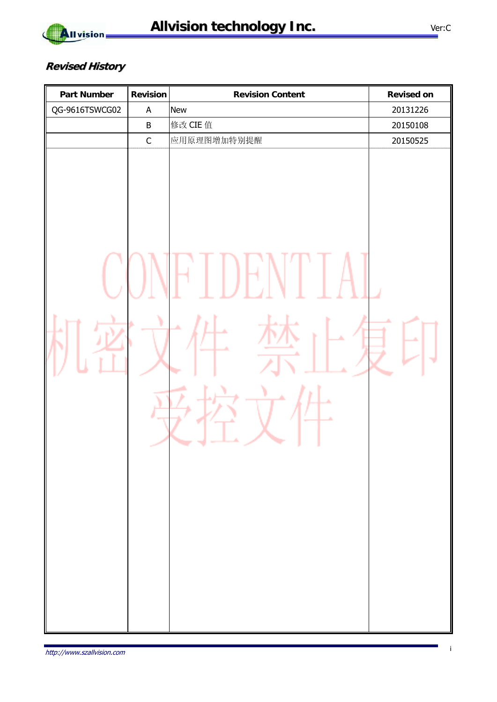

#### **Revised History**

| <b>Part Number</b> | <b>Revision</b> | <b>Revision Content</b> | <b>Revised on</b> |
|--------------------|-----------------|-------------------------|-------------------|
| QG-9616TSWCG02     | $\mathsf A$     | New                     | 20131226          |
|                    | $\sf B$         | 修改 CIE 值                | 20150108          |
|                    | $\mathsf C$     | 应用原理图增加特别提醒             | 20150525          |
|                    | ١               | ۸                       |                   |
|                    |                 |                         |                   |
|                    |                 |                         |                   |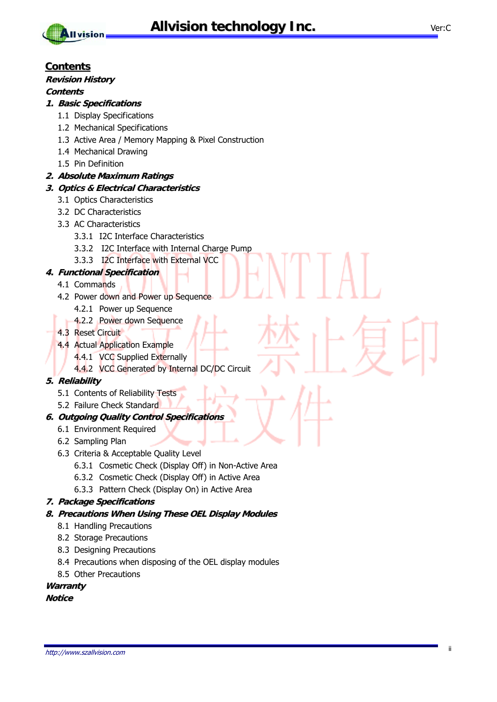



#### **Contents**

#### **Revision History**

#### **Contents**

#### **1. Basic Specifications**

- 1.1 Display Specifications
- 1.2 Mechanical Specifications
- 1.3 Active Area / Memory Mapping & Pixel Construction
- 1.4 Mechanical Drawing
- 1.5 Pin Definition

#### **2. Absolute Maximum Ratings**

#### **3. Optics & Electrical Characteristics**

- 3.1 Optics Characteristics
- 3.2 DC Characteristics
- 3.3 AC Characteristics
	- 3.3.1 I2C Interface Characteristics
	- 3.3.2 I2C Interface with Internal Charge Pump
	- 3.3.3 I2C Interface with External VCC

#### **4. Functional Specification**

- 4.1 Commands
- 4.2 Power down and Power up Sequence
	- 4.2.1 Power up Sequence
	- **4.2.2 Power down Sequence**
- 4.3 Reset Circuit
- 4.4 Actual Application Example
	- 4.4.1 VCC Supplied Externally
	- 4.4.2 VCC Generated by Internal DC/DC Circuit

#### **5. Reliability**

- 5.1 Contents of Reliability Tests
- 5.2 Failure Check Standard

#### **6. Outgoing Quality Control Specifications**

- 6.1 Environment Required
- 6.2 Sampling Plan
- 6.3 Criteria & Acceptable Quality Level
	- 6.3.1 Cosmetic Check (Display Off) in Non-Active Area
	- 6.3.2 Cosmetic Check (Display Off) in Active Area
	- 6.3.3 Pattern Check (Display On) in Active Area

#### **7. Package Specifications**

- **8. Precautions When Using These OEL Display Modules**
	- 8.1 Handling Precautions
	- 8.2 Storage Precautions
	- 8.3 Designing Precautions
	- 8.4 Precautions when disposing of the OEL display modules
	- 8.5 Other Precautions

#### **Warranty**

#### **Notice**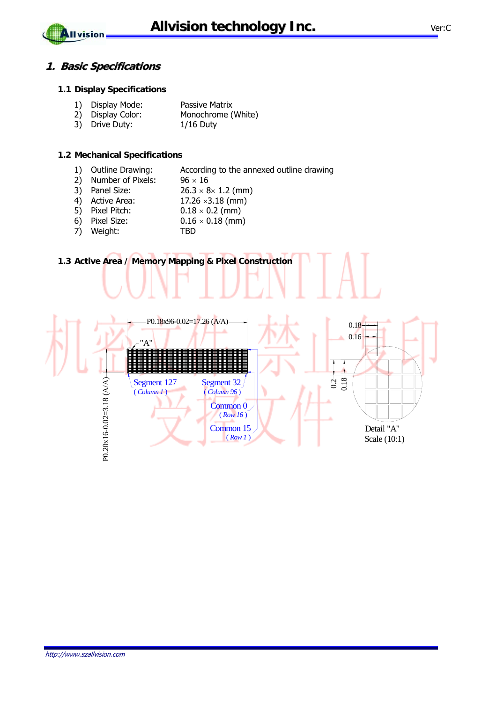#### **1. Basic Specifications**

**All vision** 

#### **1.1 Display Specifications**

|  | 1) Display Mode: | Passive Matrix |
|--|------------------|----------------|
|--|------------------|----------------|

- 2) Display Color: Monochrome (White)
- 3) Drive Duty: 1/16 Duty

#### **1.2 Mechanical Specifications**

- 1) Outline Drawing: According to the annexed outline drawing
- 2) Number of Pixels:  $96 \times 16$
- 3) Panel Size:  $26.3 \times 8 \times 1.2$  (mm)
- 4) Active Area:  $17.26 \times 3.18$  (mm)
- 5) Pixel Pitch:  $0.18 \times 0.2$  (mm)
- 6) Pixel Size:  $0.16 \times 0.18$  (mm)
- 7) Weight: TBD

#### **1.3 Active Area / Memory Mapping & Pixel Construction**

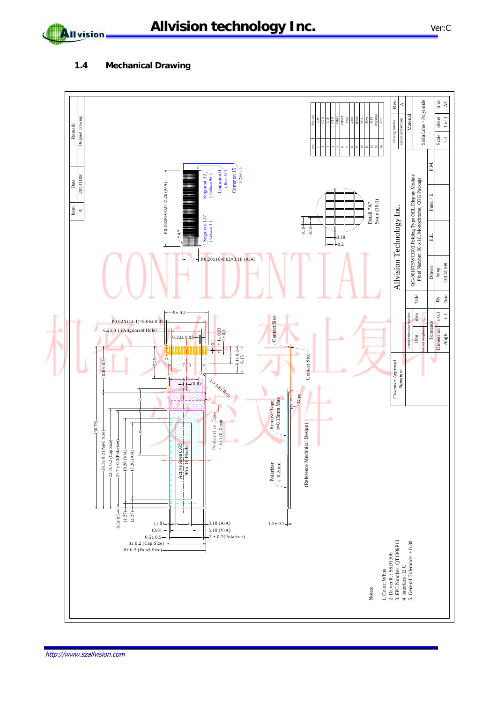Allvision

#### **1.4 Mechanical Drawing**

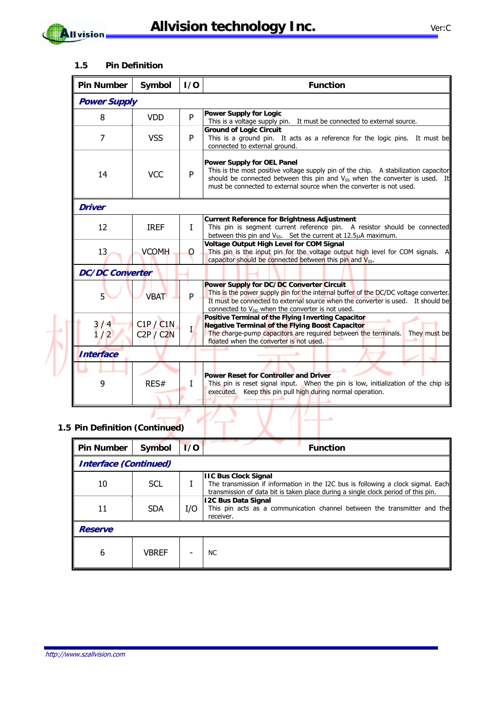

 $\mathbf{\mathbf{A}}$ Il vision

#### **1.5 Pin Definition**

| <b>Pin Number</b>             | Symbol                 | 1/0 | <b>Function</b>                                                                                                                                                                                                                                                                      |  |  |
|-------------------------------|------------------------|-----|--------------------------------------------------------------------------------------------------------------------------------------------------------------------------------------------------------------------------------------------------------------------------------------|--|--|
| <b>Power Supply</b>           |                        |     |                                                                                                                                                                                                                                                                                      |  |  |
| 8                             | <b>VDD</b>             | P   | <b>Power Supply for Logic</b><br>This is a voltage supply pin. It must be connected to external source.                                                                                                                                                                              |  |  |
| $\overline{7}$<br><b>VSS</b>  |                        | P   | <b>Ground of Logic Circuit</b><br>This is a ground pin. It acts as a reference for the logic pins. It must be<br>connected to external ground.                                                                                                                                       |  |  |
| <b>VCC</b><br>14              |                        | P   | <b>Power Supply for OEL Panel</b><br>This is the most positive voltage supply pin of the chip. A stabilization capacitor<br>should be connected between this pin and $V_{SS}$ when the converter is used. It<br>must be connected to external source when the converter is not used. |  |  |
| <b>Driver</b>                 |                        |     |                                                                                                                                                                                                                                                                                      |  |  |
| 12                            | <b>IREF</b>            | Ι   | <b>Current Reference for Brightness Adjustment</b><br>This pin is segment current reference pin. A resistor should be connected<br>between this pin and $V_{SS}$ . Set the current at 12.5 $\mu$ A maximum.                                                                          |  |  |
| 13                            | <b>VCOMH</b>           | 0   | <b>Voltage Output High Level for COM Signal</b><br>This pin is the input pin for the voltage output high level for COM signals. A<br>capacitor should be connected between this pin and V <sub>SS</sub> .                                                                            |  |  |
| <b>DC/DC Converter</b>        |                        |     |                                                                                                                                                                                                                                                                                      |  |  |
| $5^{\circ}$                   | <b>VBAT</b>            | P   | Power Supply for DC/DC Converter Circuit<br>This is the power supply pin for the internal buffer of the DC/DC voltage converter.<br>It must be connected to external source when the converter is used. It should be<br>connected to V <sub>DD</sub> when the converter is not used. |  |  |
| $\frac{3}{1}$ / $\frac{4}{2}$ | C1P / C1N<br>C2P / C2N | Ī   | Positive Terminal of the Flying Inverting Capacitor<br><b>Negative Terminal of the Flying Boost Capacitor</b><br>The charge-pump capacitors are required between the terminals.<br>They must be<br>floated when the converter is not used.                                           |  |  |
| <b>Interface</b>              |                        |     |                                                                                                                                                                                                                                                                                      |  |  |
| 9                             | RES#                   |     | <b>Power Reset for Controller and Driver</b><br>This pin is reset signal input. When the pin is low, initialization of the chip is<br>Keep this pin pull high during normal operation.<br>executed.                                                                                  |  |  |

# **1.5 Pin Definition (Continued)**

| <b>Pin Number</b>            | Symbol       | 1/0 | <b>Function</b>                                                                                                                                                                                      |  |  |
|------------------------------|--------------|-----|------------------------------------------------------------------------------------------------------------------------------------------------------------------------------------------------------|--|--|
| <b>Interface (Continued)</b> |              |     |                                                                                                                                                                                                      |  |  |
| 10                           | <b>SCL</b>   |     | <b>IIC Bus Clock Signal</b><br>The transmission if information in the I2C bus is following a clock sigmal. Each<br>transmission of data bit is taken place during a single clock period of this pin. |  |  |
| 11                           | <b>SDA</b>   | I/O | <b>12C Bus Data Signal</b><br>This pin acts as a communication channel between the transmitter and the<br>receiver.                                                                                  |  |  |
| <b>Reserve</b>               |              |     |                                                                                                                                                                                                      |  |  |
| 6                            | <b>VBREF</b> |     | <b>NC</b>                                                                                                                                                                                            |  |  |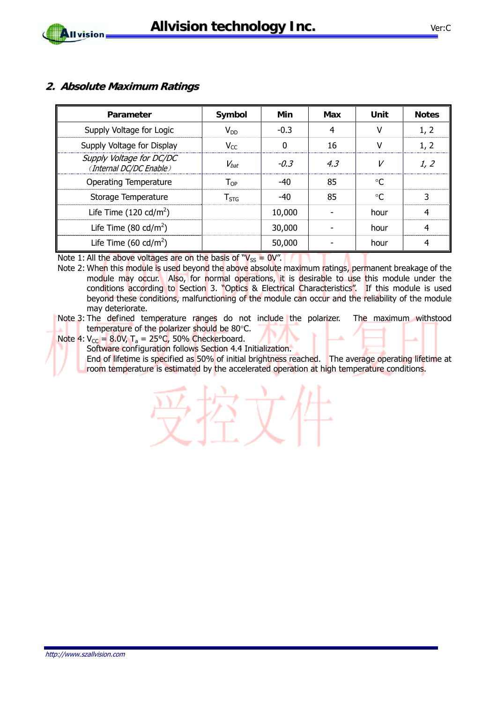#### **2. Absolute Maximum Ratings**

| Parameter                                           | Symbol                     | Min    | Max | Unit      | <b>Notes</b> |
|-----------------------------------------------------|----------------------------|--------|-----|-----------|--------------|
| Supply Voltage for Logic                            | $V_{DD}$                   | $-0.3$ | 4   | v         | 1, 2         |
| Supply Voltage for Display                          | $V_{CC}$                   | 0      | 16  | v         | 1, 2         |
| Supply Voltage for DC/DC<br>(Internal DC/DC Enable) | $V_{bat}$                  | $-0.3$ | 4.3 |           | 1, 2         |
| <b>Operating Temperature</b>                        | $\mathsf{T}_{\mathsf{OP}}$ | -40    | 85  | $\circ$ C |              |
| Storage Temperature                                 | $T_{\rm STG}$              | $-40$  | 85  | $\circ$ C | 3            |
| Life Time $(120 \text{ cd/m}^2)$                    |                            | 10,000 |     | hour      | 4            |
| Life Time $(80 \text{ cd/m}^2)$                     |                            | 30,000 |     | hour      | 4            |
| Life Time (60 cd/m <sup>2</sup> )                   |                            | 50,000 |     | hour      | 4            |

Note 1: All the above voltages are on the basis of " $V_{SS} = 0V$ ".

Note 2: When this module is used beyond the above absolute maximum ratings, permanent breakage of the module may occur. Also, for normal operations, it is desirable to use this module under the conditions according to Section 3. "Optics & Electrical Characteristics". If this module is used beyond these conditions, malfunctioning of the module can occur and the reliability of the module may deteriorate.

Note 4:  $V_{\text{CC}} = 8.0$ V, T<sub>a</sub> = 25°C, 50% Checkerboard.

Software configuration follows Section 4.4 Initialization.

End of lifetime is specified as 50% of initial brightness reached. The average operating lifetime at room temperature is estimated by the accelerated operation at high temperature conditions.

Note 3: The defined temperature ranges do not include the polarizer. The maximum withstood temperature of the polarizer should be 80°C.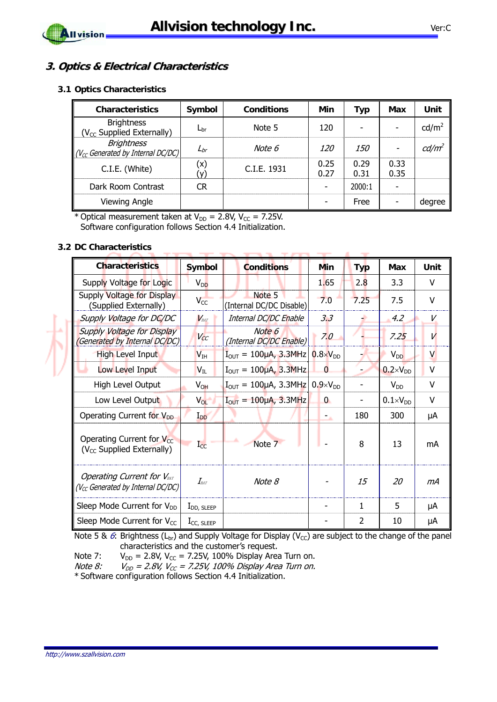**Contractor** 

**College**  $\overline{\phantom{a}}$   $\frac{1}{2}$ 

**Service Committee Committee** 

 $\mathcal{M}$ 



#### **3. Optics & Electrical Characteristics**

#### **3.1 Optics Characteristics**

| <b>Characteristics</b>                                      | Symbol       | <b>Conditions</b> | Min          | Typ          | Max          | Unit              |
|-------------------------------------------------------------|--------------|-------------------|--------------|--------------|--------------|-------------------|
| <b>Brightness</b><br>(V <sub>CC</sub> Supplied Externally)  | $L_{\rm br}$ | Note 5            | 120          |              |              | cd/m <sup>2</sup> |
| <b>Brightness</b><br>$(V_{cc}$ Generated by Internal DC/DC) | $L_{br}$     | Note 6            | <i>120</i>   | <i>150</i>   |              | cd/m <sup>2</sup> |
| C.I.E. (White)                                              | (x)<br>(V)   | C.I.E. 1931       | 0.25<br>0.27 | 0.29<br>0.31 | 0.33<br>0.35 |                   |
| Dark Room Contrast                                          | <b>CR</b>    |                   |              | 2000:1       |              |                   |
| <b>Viewing Angle</b>                                        |              |                   |              | Free         |              | degree            |

\* Optical measurement taken at  $V_{DD} = 2.8V$ ,  $V_{CC} = 7.25V$ . Software configuration follows Section 4.4 Initialization.

#### **3.2 DC Characteristics**

| <b>Characteristics</b>                                                       | Symbol                        | <b>Conditions</b>                                         | Min                | <b>Typ</b> | Max                 | Unit   |
|------------------------------------------------------------------------------|-------------------------------|-----------------------------------------------------------|--------------------|------------|---------------------|--------|
| Supply Voltage for Logic                                                     | $V_{DD}$                      |                                                           | 1.65               | 2.8        | 3.3                 | $\vee$ |
| Supply Voltage for Display<br>(Supplied Externally)                          | $V_{CC}$                      | Note 5<br>(Internal DC/DC Disable)                        | 7.0                | 7.25       | 7.5                 | $\vee$ |
| Supply Voltage for DC/DC                                                     | $V_{BAT}$                     | Internal DC/DC Enable                                     | 3.3                |            | 4.2                 | V      |
| Supply Voltage for Display<br>(Generated by Internal DC/DC)                  | $V_{CC}$                      | Note 6<br>(Internal DC/DC Enable)                         | 7.0                |            | 7.25                | V      |
| <b>High Level Input</b>                                                      | $V_{IH}$                      | $\overline{I}_{\text{OUT}} = 100 \mu A$ , 3.3MHz          | $0.8\times V_{DD}$ |            | $V_{DD}$            | V      |
| Low Level Input                                                              | $\mathsf{V}_{\text{IL}}$      | $I_{\text{OUT}} = 100 \mu A$ , 3.3MHz                     | $\Omega$           |            | $0.2 \times V_{DD}$ | V      |
| High Level Output                                                            | $V_{OH}$                      | $I_{\text{OUT}} = 100 \mu A$ , 3.3MHz 0.9×V <sub>DD</sub> |                    |            | $V_{DD}$            | $\vee$ |
| Low Level Output                                                             | $V_{OL}$                      | $I_{\text{OUT}} = 100 \mu\text{A}$ , 3.3MHz               | $\overline{0}$     |            | $0.1 \times V_{DD}$ | V      |
| Operating Current for V <sub>DD</sub>                                        | $I_{DD}$                      |                                                           | Ξa,                | 180        | 300                 | μA     |
| Operating Current for $V_{CC}$<br>(V <sub>cc</sub> Supplied Externally)      | $\rm I_{CC}$                  | Note 7                                                    |                    | 8          | 13                  | mA     |
| <b>Operating Current for VBAT</b><br>(V $_{CC}$ Generated by Internal DC/DC) | $I_{\scriptscriptstyle{BAT}}$ | Note 8                                                    |                    | 15         | 20                  | mА     |
| Sleep Mode Current for V <sub>DD</sub>                                       | $I_{DD, SLEEP}$               |                                                           |                    | 1          | 5                   | μA     |
| Sleep Mode Current for $V_{CC}$                                              | $I_{CC, SLEEP}$               |                                                           |                    | 2          | 10                  | μA     |

Note 5 & 6: Brightness (L<sub>br</sub>) and Supply Voltage for Display (V<sub>CC</sub>) are subject to the change of the panel characteristics and the customer's request.

Note 7:  $V_{DD} = 2.8V$ ,  $V_{CC} = 7.25V$ , 100% Display Area Turn on.

Note 8:  $V_{DD} = 2.8V$ ,  $V_{CC} = 7.25V$ , 100% Display Area Turn on.

\* Software configuration follows Section 4.4 Initialization.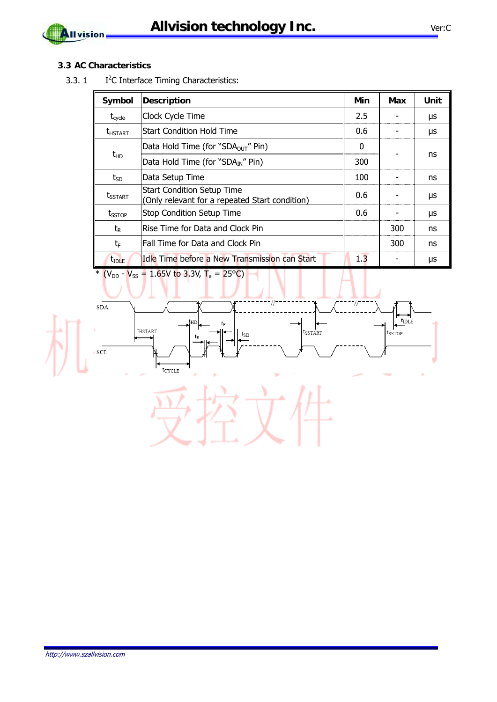

#### **3.3 AC Characteristics**

 $3.3.1$ I<sup>2</sup>C Interface Timing Characteristics:

| Symbol                | Description                                                                         | Min | Max | Unit |
|-----------------------|-------------------------------------------------------------------------------------|-----|-----|------|
| $t_{\text{cycle}}$    | Clock Cycle Time                                                                    | 2.5 |     | μs   |
| <b><i>LHSTART</i></b> | <b>Start Condition Hold Time</b>                                                    | 0.6 |     | μs   |
|                       | Data Hold Time (for "SDA <sub>OUT</sub> " Pin)                                      | 0   |     |      |
| $t_{HD}$              | Data Hold Time (for "SDA <sub>IN</sub> " Pin)                                       |     |     | ns   |
| $t_{SD}$              | Data Setup Time                                                                     | 100 |     | ns   |
| <b>t</b> sstart       | <b>Start Condition Setup Time</b><br>(Only relevant for a repeated Start condition) | 0.6 |     | μs   |
| $t_{\text{SSTOP}}$    | <b>Stop Condition Setup Time</b>                                                    | 0.6 |     | μs   |
| $t_{R}$               | Rise Time for Data and Clock Pin                                                    |     | 300 | ns   |
| $t_{F}$               | Fall Time for Data and Clock Pin                                                    |     | 300 | ns   |
| t <sub>IDLE</sub>     | Idle Time before a New Transmission can Start                                       | 1.3 |     | μs   |

\*  $(V_{DD} - V_{SS} = 1.65V$  to 3.3V, T<sub>a</sub> = 25°C)

 $SDA$  $t_{\text{IDLE}}$ tнı  $\rm t_F$  $t_{HSTART}$  $t_{\tt SSTAT}$  $t_{SD}$  $sCL$  $t_{\rm CYCLE}$ 

http://www.szallvision.com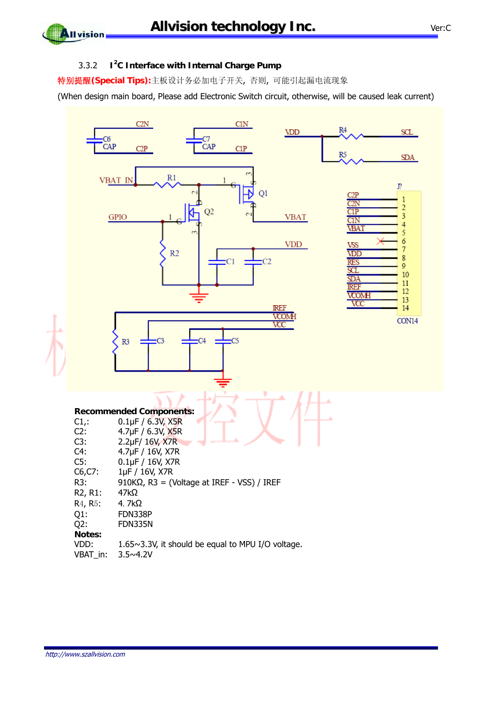#### 3.3.2 **I<sup>2</sup> C Interface with Internal Charge Pump**

特别提醒**(Special Tips):**主板设计务必加电子开关, 否则, 可能引起漏电流现象

(When design main board, Please add Electronic Switch circuit, otherwise, will be caused leak current)

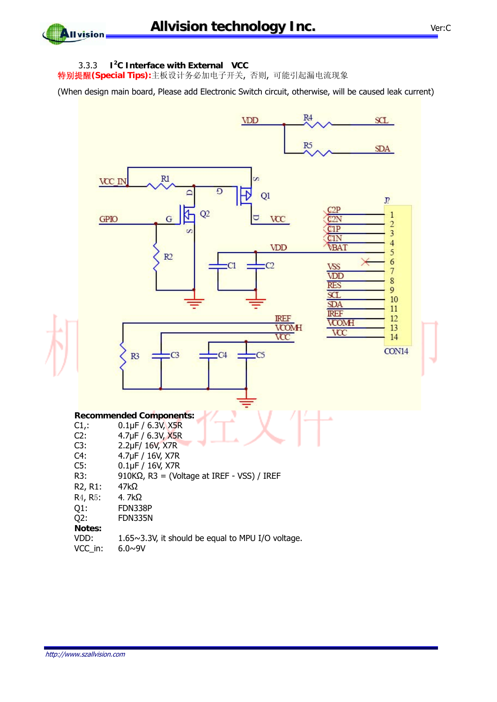**All vision** 

#### 3.3.3 **I<sup>2</sup> C Interface with External VCC**

特别提醒**(Special Tips):**主板设计务必加电子开关, 否则, 可能引起漏电流现象

(When design main board, Please add Electronic Switch circuit, otherwise, will be caused leak current)

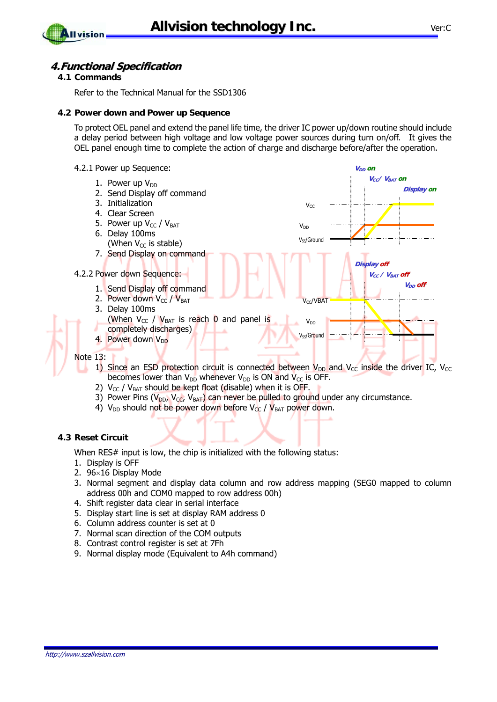

### **All vision**

#### **4.Functional Specification**

#### **4.1 Commands**

Refer to the Technical Manual for the SSD1306

#### **4.2 Power down and Power up Sequence**

To protect OEL panel and extend the panel life time, the driver IC power up/down routine should include a delay period between high voltage and low voltage power sources during turn on/off. It gives the OEL panel enough time to complete the action of charge and discharge before/after the operation.



- 1) Since an ESD protection circuit is connected between  $V_{DD}$  and  $V_{CC}$  inside the driver IC,  $V_{CC}$ becomes lower than  $V_{DD}$  whenever  $V_{DD}$  is ON and  $V_{CC}$  is OFF.
- 2)  $V_{CC}$  /  $V_{BAT}$  should be kept float (disable) when it is OFF.
- 3) Power Pins ( $V_{DD}$ ,  $V_{CC}$ ,  $V_{BAT}$ ) can never be pulled to ground under any circumstance.
- 4)  $V_{DD}$  should not be power down before  $V_{CC}$  /  $V_{BAT}$  power down.

#### **4.3 Reset Circuit**

When RES# input is low, the chip is initialized with the following status:

- 1. Display is OFF
- 2. 96×16 Display Mode
- 3. Normal segment and display data column and row address mapping (SEG0 mapped to column address 00h and COM0 mapped to row address 00h)
- 4. Shift register data clear in serial interface
- 5. Display start line is set at display RAM address 0
- 6. Column address counter is set at 0
- 7. Normal scan direction of the COM outputs
- 8. Contrast control register is set at 7Fh
- 9. Normal display mode (Equivalent to A4h command)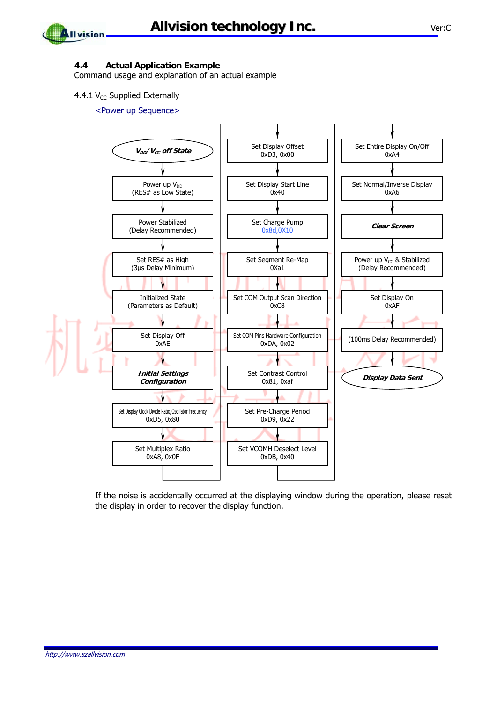

#### **4.4 Actual Application Example**

Command usage and explanation of an actual example

#### 4.4.1  $V_{CC}$  Supplied Externally

#### <Power up Sequence>



If the noise is accidentally occurred at the displaying window during the operation, please reset the display in order to recover the display function.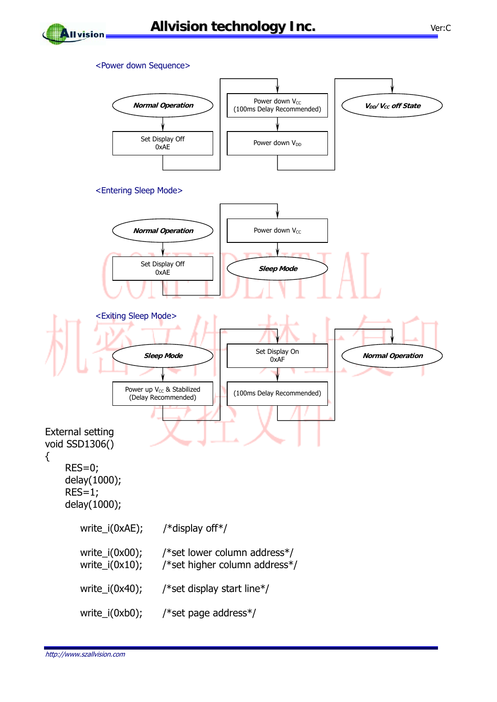

#### <Power down Sequence>



{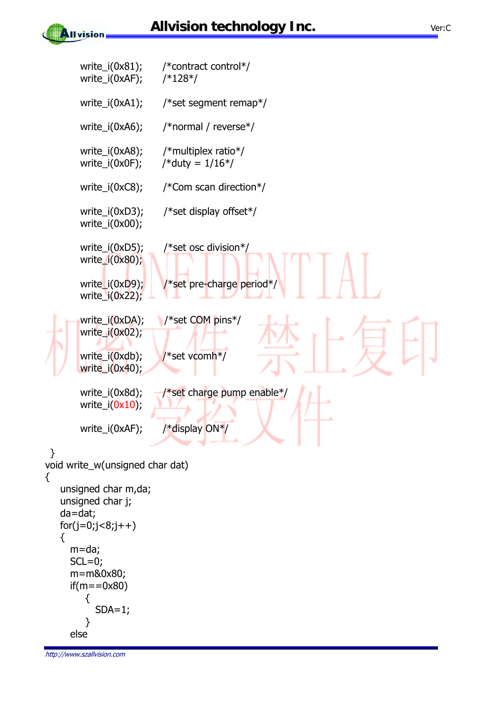





http://www.szallvision.com

{

**All vision**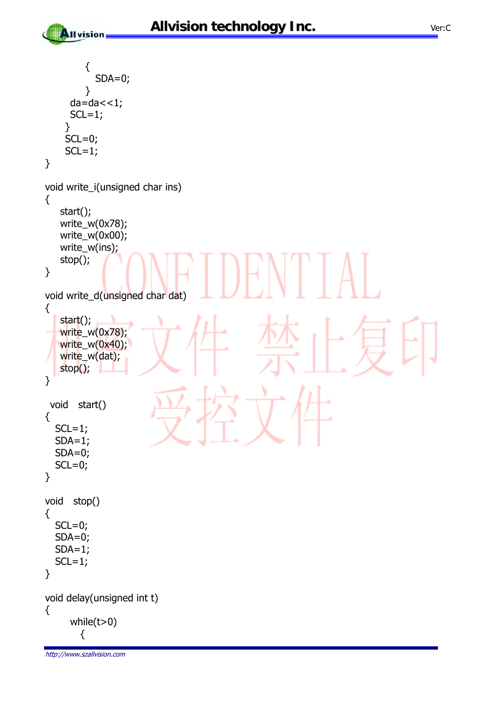```
http://www.szallvision.com 
          { 
            SDA=0;
          } 
      da=da < 1;SCL=1;
     } 
    SCL=0;SCL=1;
} 
void write_i(unsigned char ins) 
{ 
    start(); 
    write_w(0x78); 
    write_w(0x00); 
    write_w(ins); 
    stop(); 
} 
void write_d(unsigned char dat) 
{ 
   start();
    write_w(0x78); 
   write_w(0x40);
   write_w(dat);
    stop(); 
} 
  void start() 
{ 
  SCL=1;SDA=1; SDA=0; 
  SCL=0;} 
void stop() 
{ 
  SCL=0; SDA=0; 
  SDA=1;SCL=1;} 
void delay(unsigned int t) 
{ 
       while(t>0) 
         {
```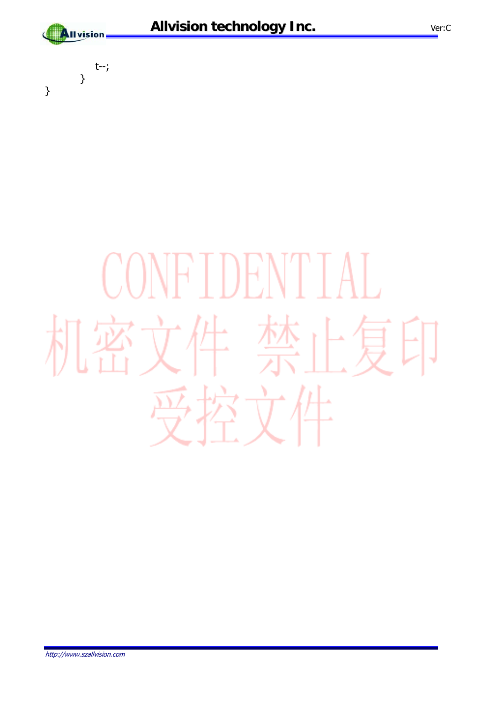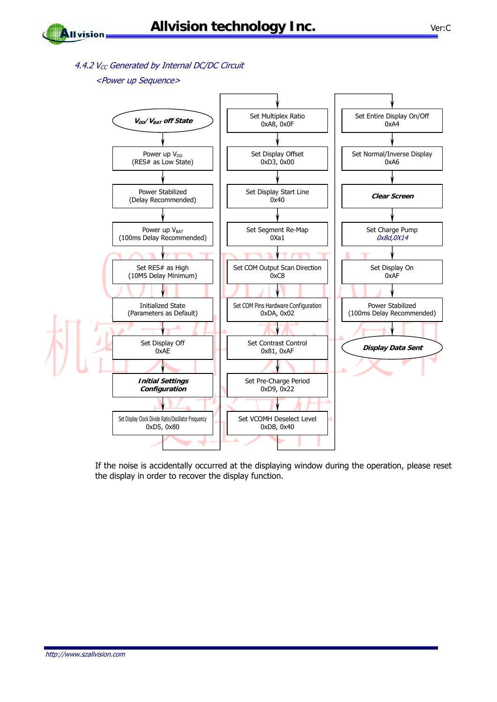4.4.2  $V_{CC}$  Generated by Internal DC/DC Circuit

#### <Power up Sequence>



If the noise is accidentally occurred at the displaying window during the operation, please reset the display in order to recover the display function.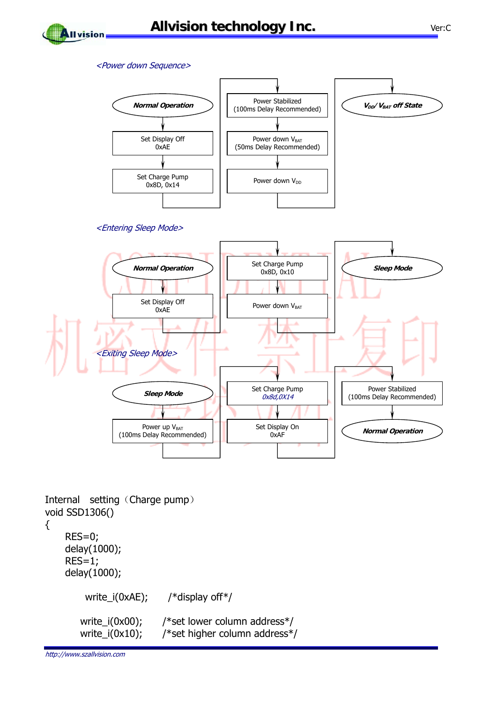

#### <Power down Sequence>



#### <Entering Sleep Mode>



Internal setting (Charge pump) void SSD1306()

```
{
```
 RES=0; delay(1000); RES=1; delay(1000); write\_i(0xAE); /\*display off\*/ write\_i(0x00); /\*set lower column address\*/ write\_i(0x10); /\*set higher column address\*/

http://www.szallvision.com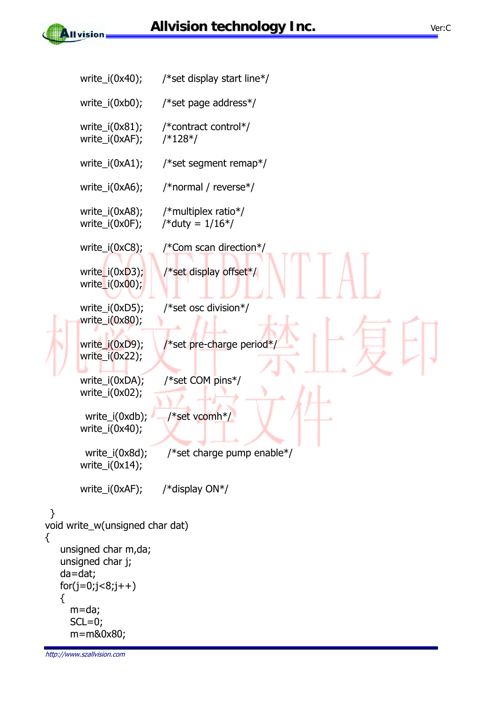

ł

{

```
http://www.szallvision.com 
        write_i(0x40); /*set display start line*/ 
        write_i(0xb0); /*set page address*/ 
        write_i(0x81); /*contract control*/ 
        write_i(0xAF); /*128*/ 
        write_i(0xA1); /*set segment remap*/ 
        write_i(0xA6); /*normal / reverse*/ 
        write_i(0xA8); /*multiplex ratio*/ 
       write_i(0x0F); /* duty = 1/16*/ write_i(0xC8); /*Com scan direction*/ 
       write_i(0xD3); \frac{1}{2} /*set display offset*/
        write_i(0x00); 
       write i(0xD5); /*set osc division*/
        write_i(0x80); 
        write i(0xD9); /*set pre-charge period*/
         write_i(0x22); 
       write i(0xDA); /*set COM pins*/
        write_i(0x02); 
         write_i(0xdb); - /*set vcomh*/
        write_i(0x40); 
          write_i(0x8d); /*set charge pump enable*/ 
       write_i(0x14);
        write_i(0xAF); /*display ON*/ 
  } 
void write_w(unsigned char dat) 
    unsigned char m,da; 
    unsigned char j; 
    da=dat; 
   for(j=0,j<8,j++) { 
      m=da; 
     SCL=0; m=m&0x80;
```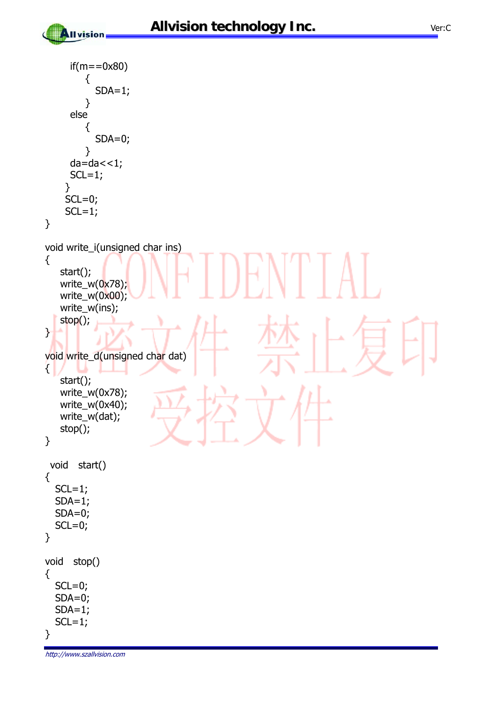```
if(m == 0x80) { 
            SDA=1; } 
      else 
          { 
             SDA=0; 
          } 
     da=da < 1;SCL=1; } 
    SCL=0;SCL=1;} 
void write_i(unsigned char ins) 
{ 
    start(); 
   write_w(0x78);
   write_w(0x00);
   write_w(ins);
    stop(); 
} 
void write_d(unsigned char dat) 
\{ start(); 
    write_w(0x78); 
    write_w(0x40); 
    write_w(dat); 
    stop(); 
} 
  void start() 
{ 
  SCL=1;SDA=1; SDA=0; 
  SCL=0;} 
void stop() 
{ 
  SCL=0; SDA=0; 
  SDA=1;
  SCL=1;}
```
http://www.szallvision.com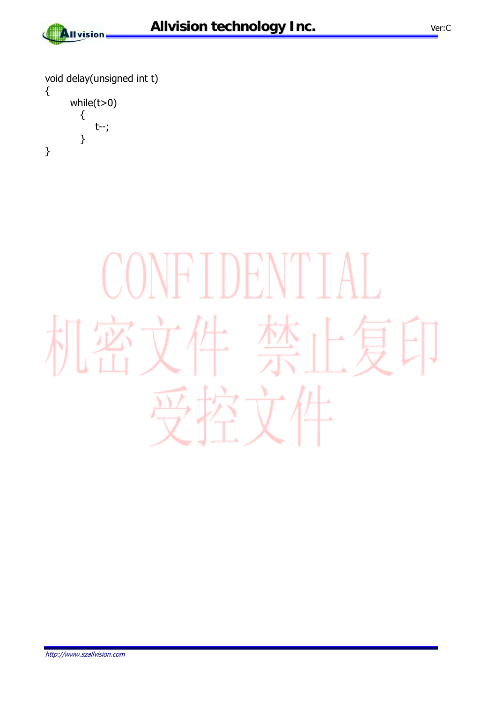

void delay(unsigned int t) { while(t>0) { t--; } }

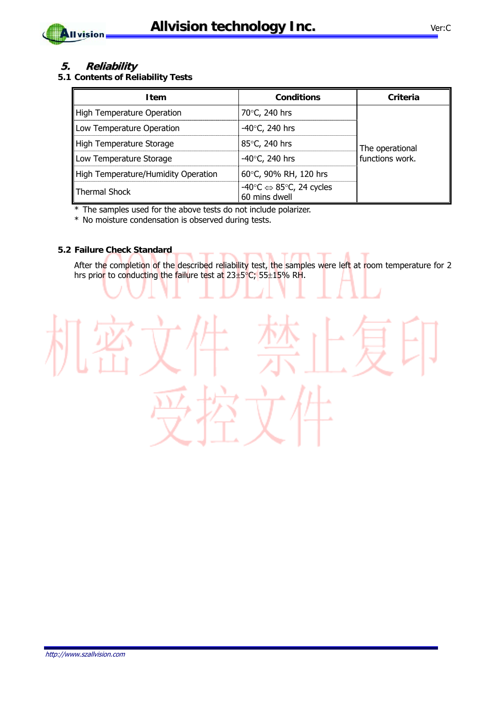



#### **5. Reliability**

**5.1 Contents of Reliability Tests** 

| <b>Item</b>                         | <b>Conditions</b>                                                            | Criteria        |  |
|-------------------------------------|------------------------------------------------------------------------------|-----------------|--|
| High Temperature Operation          | 70°C, 240 hrs                                                                |                 |  |
| Low Temperature Operation           | -40 $\degree$ C, 240 hrs                                                     | The operational |  |
| High Temperature Storage            | 85°C, 240 hrs                                                                |                 |  |
| Low Temperature Storage             | -40 $\degree$ C, 240 hrs                                                     | functions work. |  |
| High Temperature/Humidity Operation | 60°C, 90% RH, 120 hrs                                                        |                 |  |
| Thermal Shock                       | -40 $\degree$ C $\Leftrightarrow$ 85 $\degree$ C, 24 cycles<br>60 mins dwell |                 |  |

\* The samples used for the above tests do not include polarizer.

\* No moisture condensation is observed during tests.

#### **5.2 Failure Check Standard**

After the completion of the described reliability test, the samples were left at room temperature for 2 hrs prior to conducting the failure test at  $23\pm5\degree$ C;  $55\pm15\%$  RH.

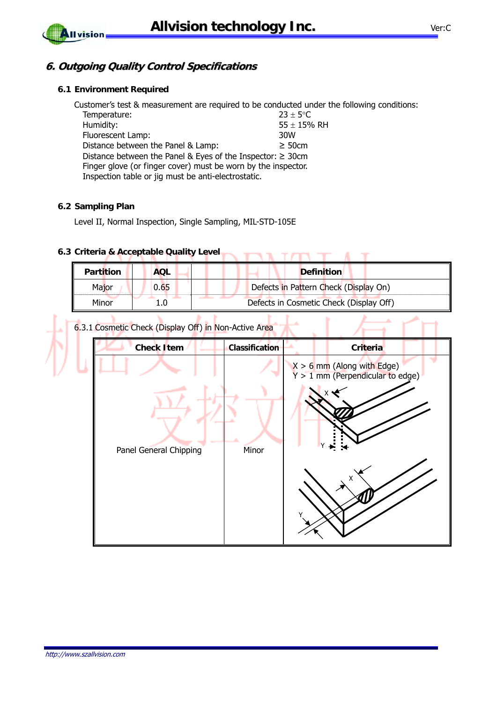#### **6. Outgoing Quality Control Specifications**

#### **6.1 Environment Required**

Customer's test & measurement are required to be conducted under the following conditions: Temperature:  $23 \pm 5^{\circ}$ C Humidity:  $55 \pm 15%$  RH Fluorescent Lamp:  $55 \pm 15%$  RH Fluorescent Lamp: Distance between the Panel & Lamp:  $\geq 50$ cm Distance between the Panel & Eyes of the Inspector: ≥ 30cm Finger glove (or finger cover) must be worn by the inspector. Inspection table or jig must be anti-electrostatic.

#### **6.2 Sampling Plan**

Level II, Normal Inspection, Single Sampling, MIL-STD-105E

### **6.3 Criteria & Acceptable Quality Level**

| <b>Partition</b> | <b>AQL</b> | <b>Definition</b>                       |
|------------------|------------|-----------------------------------------|
| Major            | 0.65       | Defects in Pattern Check (Display On)   |
| Minor            |            | Defects in Cosmetic Check (Display Off) |

 $\blacksquare$ 

6.3.1 Cosmetic Check (Display Off) in Non-Active Area

| <b>Check Item</b>      | Classification | Criteria                                                           |
|------------------------|----------------|--------------------------------------------------------------------|
|                        |                | $X > 6$ mm (Along with Edge)<br>$Y > 1$ mm (Perpendicular to edge) |
| Panel General Chipping | Minor          |                                                                    |
|                        |                |                                                                    |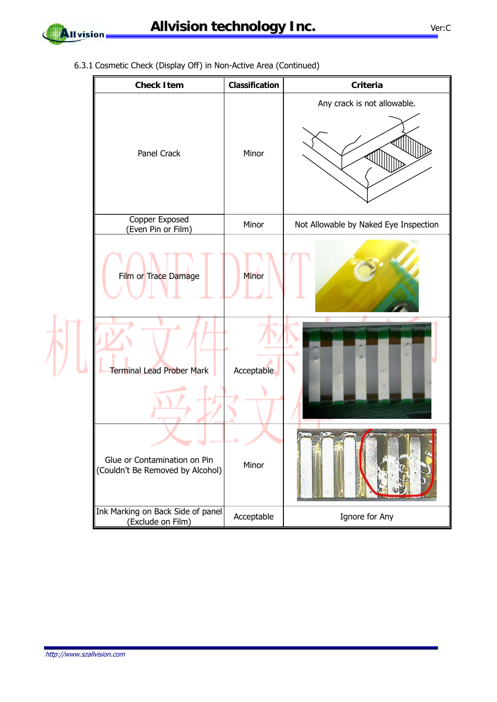

 $\frac{1}{\sqrt{2}}$ 

6.3.1 Cosmetic Check (Display Off) in Non-Active Area (Continued)

| <b>Check Item</b>                                                | Classification | Criteria                              |
|------------------------------------------------------------------|----------------|---------------------------------------|
| Panel Crack                                                      | Minor          | Any crack is not allowable.           |
| Copper Exposed<br>(Even Pin or Film)                             | Minor          | Not Allowable by Naked Eye Inspection |
| Film or Trace Damage                                             | Minor          |                                       |
| Terminal Lead Prober Mark                                        | Acceptable     |                                       |
| Glue or Contamination on Pin<br>(Couldn't Be Removed by Alcohol) | Minor          |                                       |
| Ink Marking on Back Side of panel<br>(Exclude on Film)           | Acceptable     | Ignore for Any                        |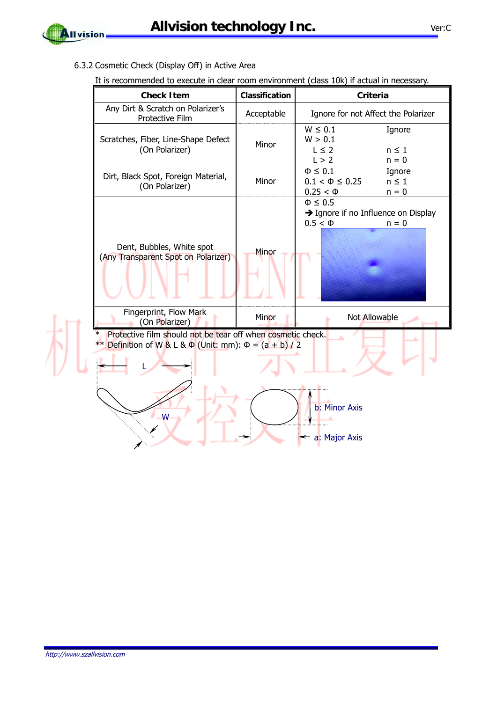

为

6.3.2 Cosmetic Check (Display Off) in Active Area

| <b>Check Item</b>                                                                                                                         | Classification | <b>Criteria</b>                                                                               |
|-------------------------------------------------------------------------------------------------------------------------------------------|----------------|-----------------------------------------------------------------------------------------------|
| Any Dirt & Scratch on Polarizer's<br>Protective Film                                                                                      | Acceptable     | Ignore for not Affect the Polarizer                                                           |
| Scratches, Fiber, Line-Shape Defect<br>(On Polarizer)                                                                                     | Minor          | $W \leq 0.1$<br>Ignore<br>W > 0.1<br>$L \leq 2$<br>$n \leq 1$<br>L > 2<br>$n = 0$             |
| Dirt, Black Spot, Foreign Material,<br>(On Polarizer)                                                                                     | Minor          | $\Phi \leq 0.1$<br>Ignore<br>$0.1 < \Phi \leq 0.25$<br>$n \leq 1$<br>$n = 0$<br>$0.25 < \Phi$ |
| Dent, Bubbles, White spot<br>(Any Transparent Spot on Polarizer)                                                                          | Minor          | $\Phi \leq 0.5$<br>→ Ignore if no Influence on Display<br>$0.5 < \Phi$<br>$n = 0$             |
| Fingerprint, Flow Mark<br>(On Polarizer)                                                                                                  | Minor          | Not Allowable                                                                                 |
| Protective film should not be tear off when cosmetic check.<br>$\ast$<br>Definition of W & L & $\Phi$ (Unit: mm): $\Phi = (a + b)/2$<br>W |                | b: Minor Axis<br>a: Major Axis                                                                |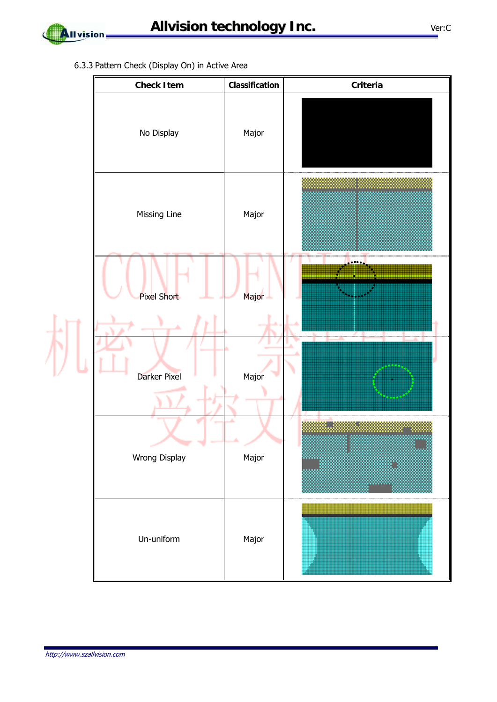

6.3.3 Pattern Check (Display On) in Active Area

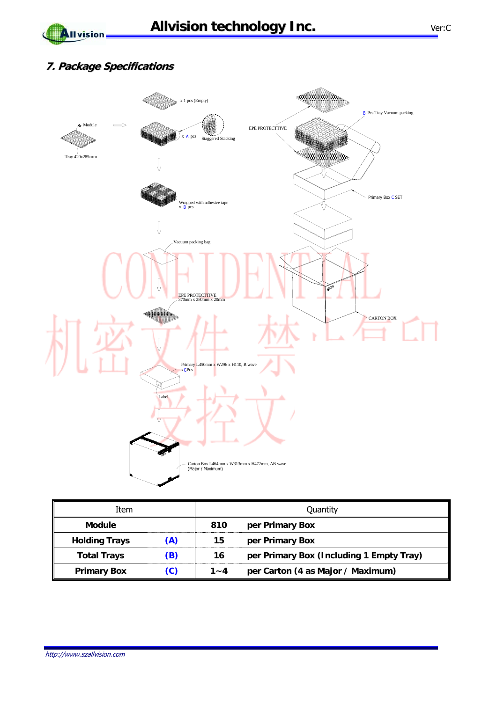### **7. Package Specifications**

**All vision** 



| Item                 |               | Quantity |                                          |
|----------------------|---------------|----------|------------------------------------------|
| <b>Module</b>        |               | 810      | per Primary Box                          |
| <b>Holding Trays</b> | (A)           | 15       | per Primary Box                          |
| <b>Total Trays</b>   | (B)           | 16       | per Primary Box (Including 1 Empty Tray) |
| <b>Primary Box</b>   | $\mathcal{C}$ | $1 - 4$  | per Carton (4 as Major / Maximum)        |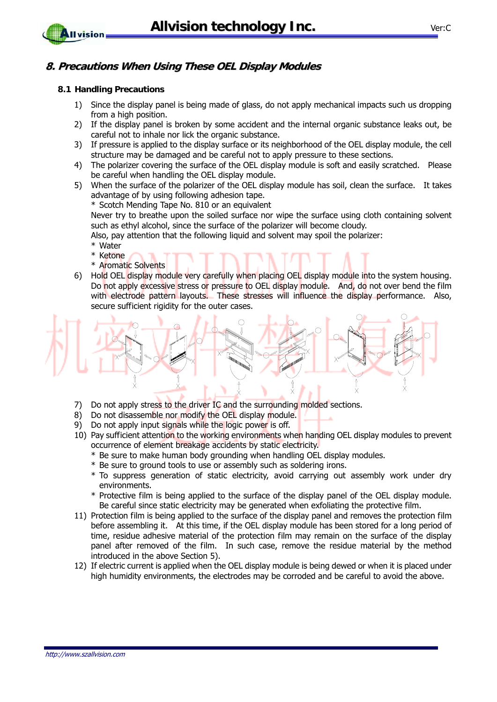

#### **8. Precautions When Using These OEL Display Modules**

#### **8.1 Handling Precautions**

- 1) Since the display panel is being made of glass, do not apply mechanical impacts such us dropping from a high position.
- 2) If the display panel is broken by some accident and the internal organic substance leaks out, be careful not to inhale nor lick the organic substance.
- 3) If pressure is applied to the display surface or its neighborhood of the OEL display module, the cell structure may be damaged and be careful not to apply pressure to these sections.
- 4) The polarizer covering the surface of the OEL display module is soft and easily scratched. Please be careful when handling the OEL display module.
- 5) When the surface of the polarizer of the OEL display module has soil, clean the surface. It takes advantage of by using following adhesion tape.

\* Scotch Mending Tape No. 810 or an equivalent

Never try to breathe upon the soiled surface nor wipe the surface using cloth containing solvent such as ethyl alcohol, since the surface of the polarizer will become cloudy.

Also, pay attention that the following liquid and solvent may spoil the polarizer:

- \* Water
- \* Ketone
- \* Aromatic Solvents
- 6) Hold OEL display module very carefully when placing OEL display module into the system housing. Do not apply excessive stress or pressure to OEL display module. And, do not over bend the film with electrode pattern layouts. These stresses will influence the display performance. Also, secure sufficient rigidity for the outer cases.



- 7) Do not apply stress to the driver IC and the surrounding molded sections.
- 8) Do not disassemble nor modify the OEL display module.
- 9) Do not apply input signals while the logic power is off.
- 10) Pay sufficient attention to the working environments when handing OEL display modules to prevent occurrence of element breakage accidents by static electricity.
	- \* Be sure to make human body grounding when handling OEL display modules.
	- \* Be sure to ground tools to use or assembly such as soldering irons.
	- \* To suppress generation of static electricity, avoid carrying out assembly work under dry environments.
	- \* Protective film is being applied to the surface of the display panel of the OEL display module. Be careful since static electricity may be generated when exfoliating the protective film.
- 11) Protection film is being applied to the surface of the display panel and removes the protection film before assembling it. At this time, if the OEL display module has been stored for a long period of time, residue adhesive material of the protection film may remain on the surface of the display panel after removed of the film. In such case, remove the residue material by the method introduced in the above Section 5).
- 12) If electric current is applied when the OEL display module is being dewed or when it is placed under high humidity environments, the electrodes may be corroded and be careful to avoid the above.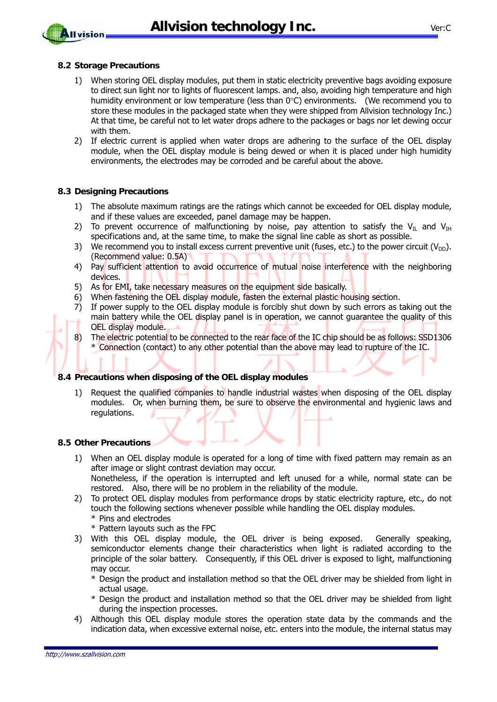**Allvision technology Inc.** Ver:C

#### **8.2 Storage Precautions**

**Allvision** 

- 1) When storing OEL display modules, put them in static electricity preventive bags avoiding exposure to direct sun light nor to lights of fluorescent lamps. and, also, avoiding high temperature and high humidity environment or low temperature (less than 0°C) environments. (We recommend you to store these modules in the packaged state when they were shipped from Allvision technology Inc.) At that time, be careful not to let water drops adhere to the packages or bags nor let dewing occur with them.
- 2) If electric current is applied when water drops are adhering to the surface of the OEL display module, when the OEL display module is being dewed or when it is placed under high humidity environments, the electrodes may be corroded and be careful about the above.

#### **8.3 Designing Precautions**

- 1) The absolute maximum ratings are the ratings which cannot be exceeded for OEL display module, and if these values are exceeded, panel damage may be happen.
- 2) To prevent occurrence of malfunctioning by noise, pay attention to satisfy the V<sub>II</sub> and V<sub>IH</sub> specifications and, at the same time, to make the signal line cable as short as possible.
- 3) We recommend you to install excess current preventive unit (fuses, etc.) to the power circuit ( $V_{\text{DD}}$ ). (Recommend value: 0.5A)
- 4) Pay sufficient attention to avoid occurrence of mutual noise interference with the neighboring devices.
- 5) As for EMI, take necessary measures on the equipment side basically.
- 6) When fastening the OEL display module, fasten the external plastic housing section.
- 7) If power supply to the OEL display module is forcibly shut down by such errors as taking out the main battery while the OEL display panel is in operation, we cannot guarantee the quality of this OEL display module.
- 8) The electric potential to be connected to the rear face of the IC chip should be as follows: SSD1306 \* Connection (contact) to any other potential than the above may lead to rupture of the IC.

#### **8.4 Precautions when disposing of the OEL display modules**

1) Request the qualified companies to handle industrial wastes when disposing of the OEL display modules. Or, when burning them, be sure to observe the environmental and hygienic laws and regulations.

#### **8.5 Other Precautions**

- 1) When an OEL display module is operated for a long of time with fixed pattern may remain as an after image or slight contrast deviation may occur. Nonetheless, if the operation is interrupted and left unused for a while, normal state can be
	- restored. Also, there will be no problem in the reliability of the module.
- 2) To protect OEL display modules from performance drops by static electricity rapture, etc., do not touch the following sections whenever possible while handling the OEL display modules. \* Pins and electrodes
	- \* Pattern layouts such as the FPC
- 3) With this OEL display module, the OEL driver is being exposed. Generally speaking, semiconductor elements change their characteristics when light is radiated according to the principle of the solar battery. Consequently, if this OEL driver is exposed to light, malfunctioning may occur.
	- \* Design the product and installation method so that the OEL driver may be shielded from light in actual usage.
	- \* Design the product and installation method so that the OEL driver may be shielded from light during the inspection processes.
- 4) Although this OEL display module stores the operation state data by the commands and the indication data, when excessive external noise, etc. enters into the module, the internal status may